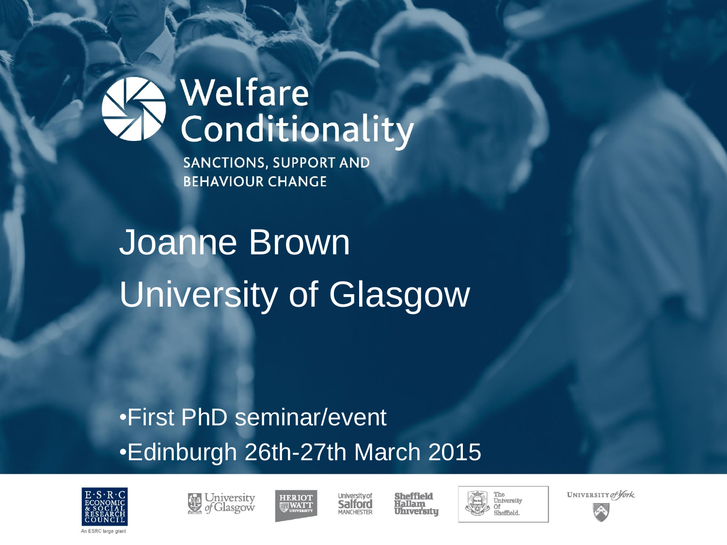#### Welfare Conditionality

**SANCTIONS, SUPPORT AND BEHAVIOUR CHANGE** 

## Joanne Brown University of Glasgow

#### •First PhD seminar/event •Edinburgh 26th-27th March 2015







**University of** Salford MANCHESTER





UNIVERSITY of York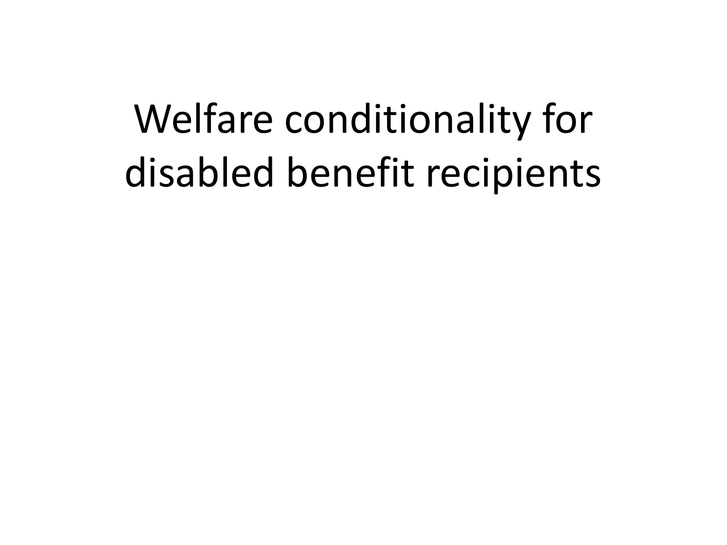## Welfare conditionality for disabled benefit recipients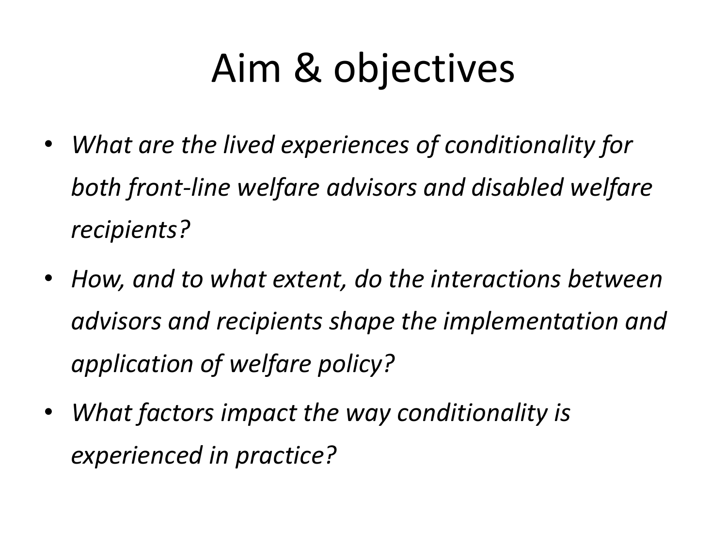## Aim & objectives

- *What are the lived experiences of conditionality for both front-line welfare advisors and disabled welfare recipients?*
- *How, and to what extent, do the interactions between advisors and recipients shape the implementation and application of welfare policy?*
- *What factors impact the way conditionality is experienced in practice?*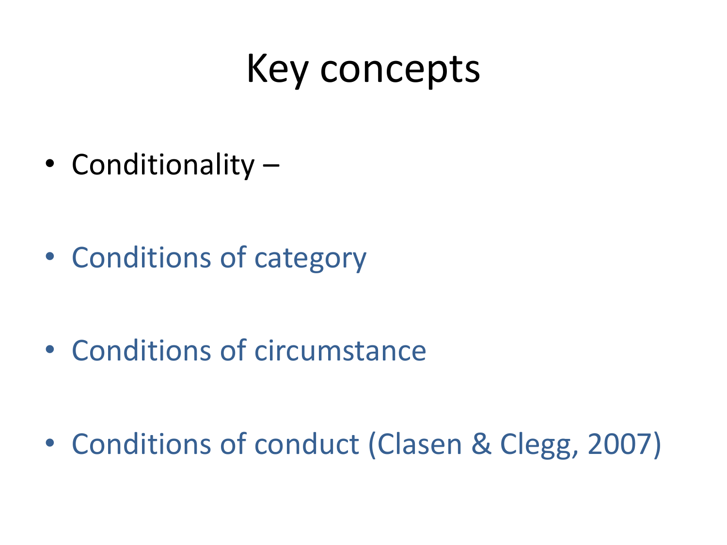#### Key concepts

• Conditionality –

• Conditions of category

• Conditions of circumstance

• Conditions of conduct (Clasen & Clegg, 2007)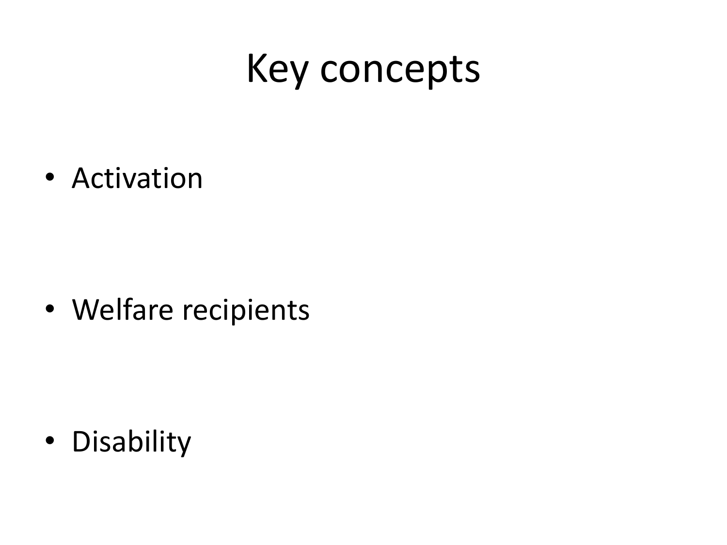#### Key concepts

• Activation

• Welfare recipients

• Disability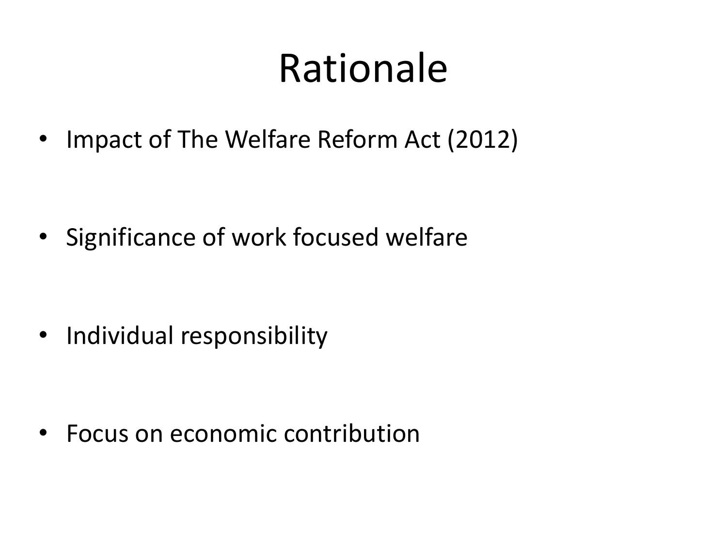#### Rationale

• Impact of The Welfare Reform Act (2012)

• Significance of work focused welfare

• Individual responsibility

• Focus on economic contribution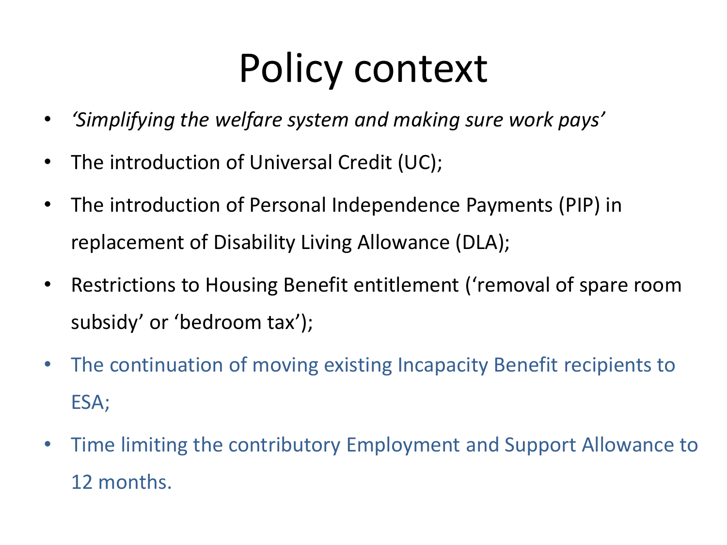### Policy context

- *'Simplifying the welfare system and making sure work pays'*
- The introduction of Universal Credit (UC);
- The introduction of Personal Independence Payments (PIP) in replacement of Disability Living Allowance (DLA);
- Restrictions to Housing Benefit entitlement ('removal of spare room subsidy' or 'bedroom tax');
- The continuation of moving existing Incapacity Benefit recipients to ESA;
- Time limiting the contributory Employment and Support Allowance to 12 months.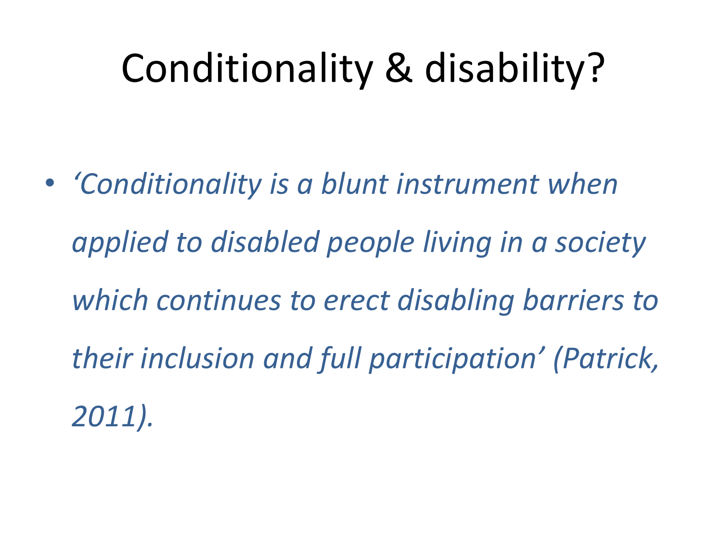### Conditionality & disability?

• *'Conditionality is a blunt instrument when applied to disabled people living in a society which continues to erect disabling barriers to their inclusion and full participation' (Patrick, 2011).*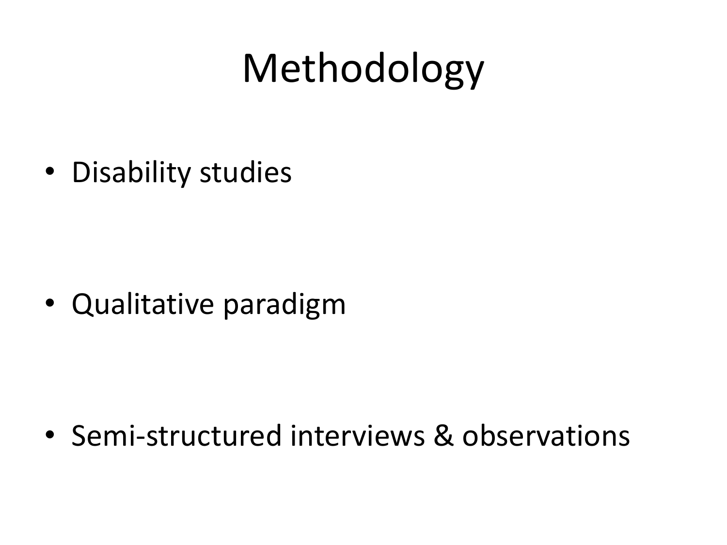## Methodology

• Disability studies

• Qualitative paradigm

• Semi-structured interviews & observations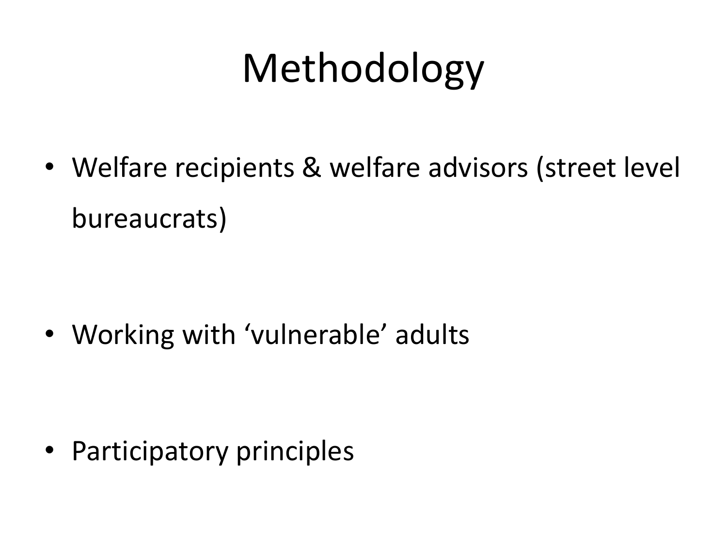# Methodology

• Welfare recipients & welfare advisors (street level bureaucrats)

• Working with 'vulnerable' adults

• Participatory principles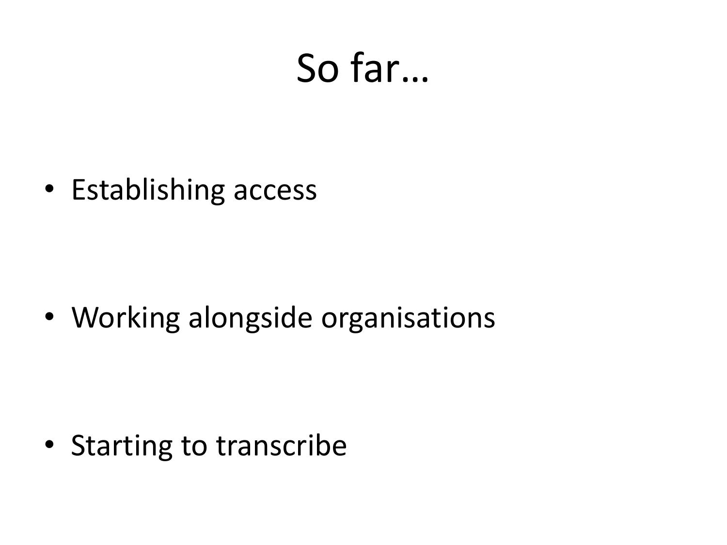#### So far…

• Establishing access

• Working alongside organisations

• Starting to transcribe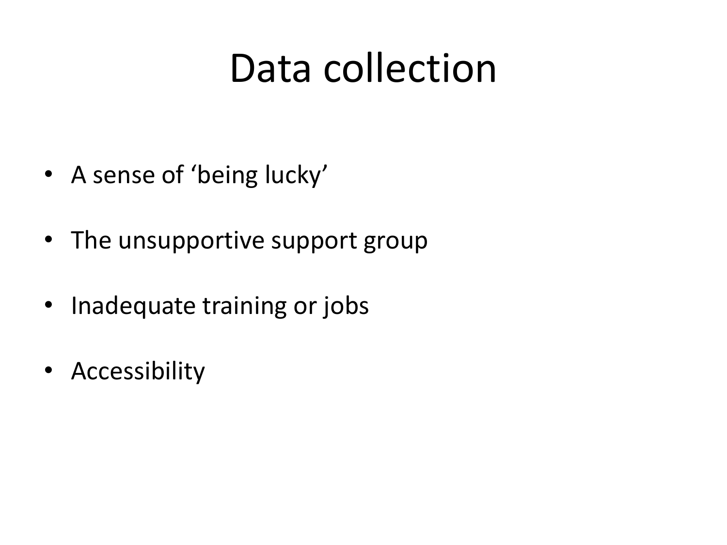#### Data collection

- A sense of 'being lucky'
- The unsupportive support group
- Inadequate training or jobs
- Accessibility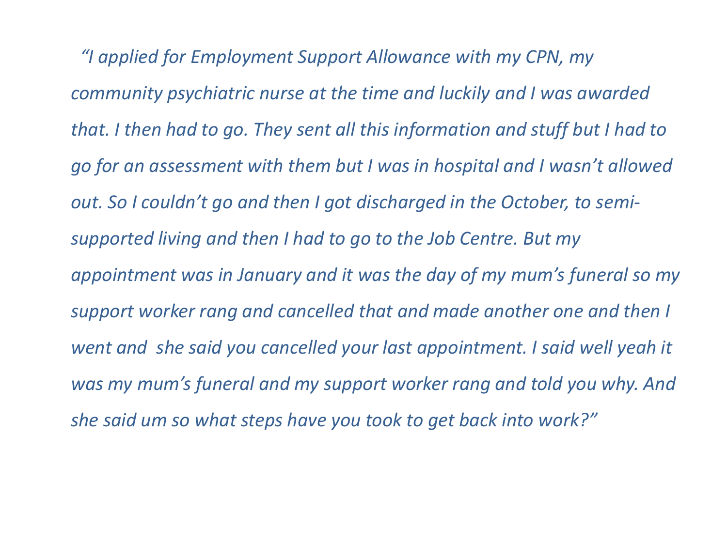*"I applied for Employment Support Allowance with my CPN, my community psychiatric nurse at the time and luckily and I was awarded that. I then had to go. They sent all this information and stuff but I had to go for an assessment with them but I was in hospital and I wasn't allowed out. So I couldn't go and then I got discharged in the October, to semisupported living and then I had to go to the Job Centre. But my appointment was in January and it was the day of my mum's funeral so my support worker rang and cancelled that and made another one and then I went and she said you cancelled your last appointment. I said well yeah it was my mum's funeral and my support worker rang and told you why. And she said um so what steps have you took to get back into work?"*